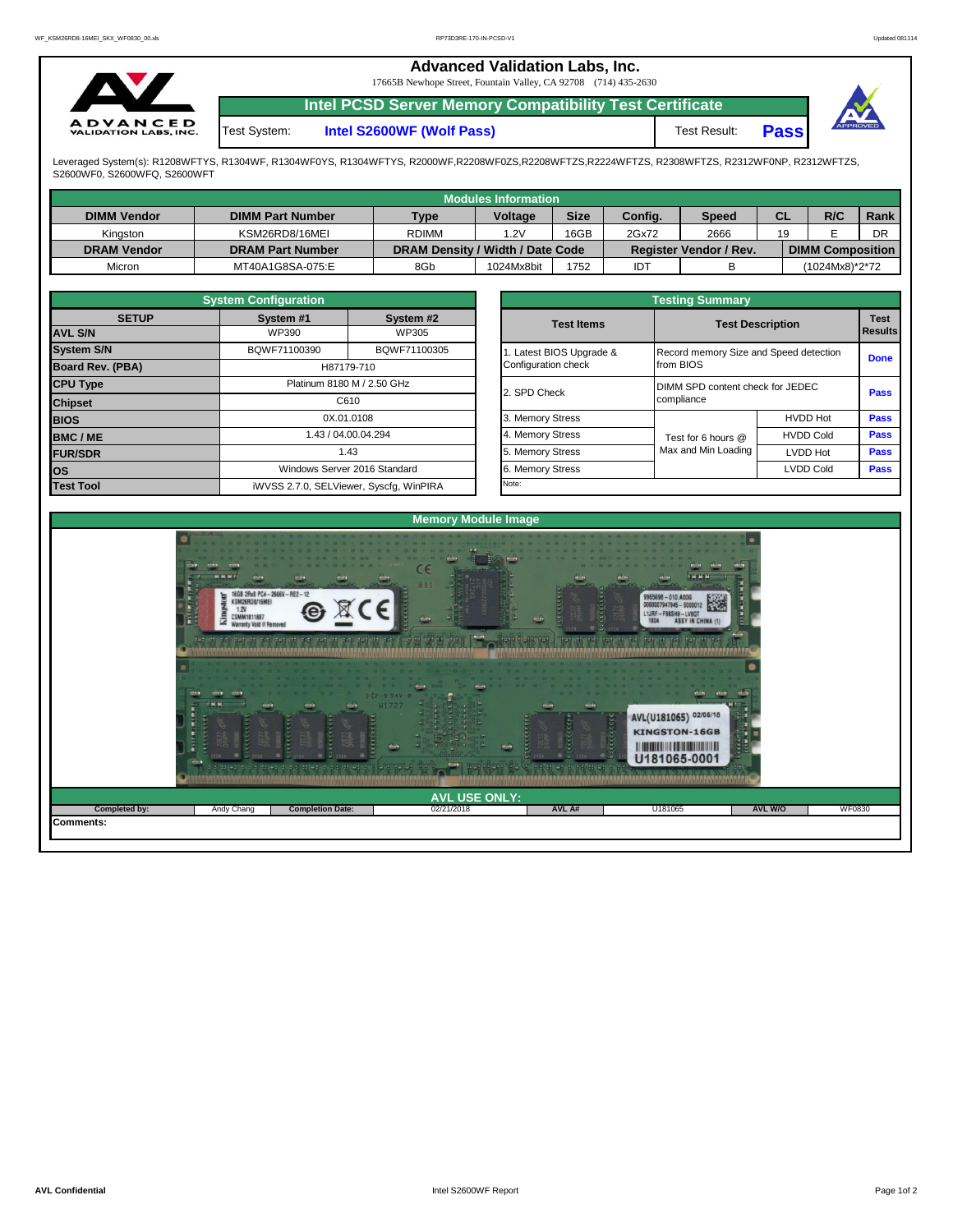$\overline{ }$  $\cdot$ 

|                                         |              | <b>Advanced Validation Labs, Inc.</b><br>17665B Newhope Street, Fountain Valley, CA 92708 (714) 435-2630 |              |             |                 |
|-----------------------------------------|--------------|----------------------------------------------------------------------------------------------------------|--------------|-------------|-----------------|
|                                         |              | <b>Intel PCSD Server Memory Compatibility Test Certificate</b>                                           |              |             |                 |
| <b>ADVANCED</b><br>ALIDATION LABS, INC. | Test System: | Intel S2600WF (Wolf Pass)                                                                                | Test Result: | <b>Pass</b> | <b>APPROVED</b> |

Leveraged System(s): R1208WFTYS, R1304WF, R1304WF0YS, R1304WFTYS, R2000WF,R2208WF0ZS,R2208WFTZS,R2224WFTZS, R2308WFTZS, R2312WF0NP, R2312WFTZS,<br>S2600WF0, S2600WFQ, S2600WFT

|                    |                         |                                  | <b>Modules Information</b> |             |         |                               |    |                         |      |
|--------------------|-------------------------|----------------------------------|----------------------------|-------------|---------|-------------------------------|----|-------------------------|------|
| <b>DIMM Vendor</b> | <b>DIMM Part Number</b> | <b>Type</b>                      | <b>Voltage</b>             | <b>Size</b> | Config. | <b>Speed</b>                  | СL | R/C                     | Rank |
| Kingston           | KSM26RD8/16MEI          | <b>RDIMM</b>                     | 1.2V                       | 16GB        | 2Gx72   | 2666                          | 19 |                         | DR   |
| <b>DRAM Vendor</b> | <b>DRAM Part Number</b> | DRAM Density / Width / Date Code |                            |             |         | <b>Register Vendor / Rev.</b> |    | <b>DIMM Composition</b> |      |
| Micron             | MT40A1G8SA-075:E        | 8Gb                              | 1024Mx8bit                 | 1752        | IDT     |                               |    | (1024Mx8)*2*72          |      |

|                         | <b>System Configuration</b> |                                         |  |                       |                                        |                         |             |  |  |  |
|-------------------------|-----------------------------|-----------------------------------------|--|-----------------------|----------------------------------------|-------------------------|-------------|--|--|--|
| <b>SETUP</b>            | System #1                   | System #2                               |  | <b>Test Items</b>     |                                        | <b>Test Description</b> |             |  |  |  |
| <b>AVL S/N</b>          | WP390                       | WP305                                   |  |                       |                                        |                         | Results     |  |  |  |
| <b>System S/N</b>       | BQWF71100390                | BQWF71100305                            |  | Latest BIOS Upgrade & | Record memory Size and Speed detection |                         | <b>Done</b> |  |  |  |
| <b>Board Rev. (PBA)</b> |                             | H87179-710                              |  | Configuration check   | from BIOS                              |                         |             |  |  |  |
| <b>CPU Type</b>         |                             | Platinum 8180 M / 2.50 GHz              |  | 2. SPD Check          | DIMM SPD content check for JEDEC       |                         | <b>Pass</b> |  |  |  |
| <b>Chipset</b>          |                             | C610                                    |  |                       | compliance                             |                         |             |  |  |  |
| <b>BIOS</b>             |                             | 0X.01.0108                              |  | 3. Memory Stress      |                                        | <b>HVDD Hot</b>         | Pass        |  |  |  |
| <b>BMC/ME</b>           |                             | 1.43 / 04.00.04.294                     |  | 4. Memory Stress      | Test for 6 hours @                     | <b>HVDD Cold</b>        | <b>Pass</b> |  |  |  |
| <b>FUR/SDR</b>          | 1.43                        |                                         |  | 5. Memory Stress      | Max and Min Loading                    | <b>LVDD Hot</b>         | Pass        |  |  |  |
| los                     |                             | Windows Server 2016 Standard            |  | 6. Memory Stress      |                                        | <b>LVDD Cold</b>        | <b>Pass</b> |  |  |  |
| <b>Test Tool</b>        |                             | iWVSS 2.7.0, SELViewer, Syscfq, WinPIRA |  | Note:                 |                                        |                         |             |  |  |  |

|              | <b>System Configuration</b> |                                    | <b>Testing Summary</b> |                                        |                                  |                               |  |  |  |  |
|--------------|-----------------------------|------------------------------------|------------------------|----------------------------------------|----------------------------------|-------------------------------|--|--|--|--|
| <b>SETUP</b> | System #1                   | System #2                          | <b>Test Items</b>      | <b>Test Description</b>                |                                  | <b>Test</b><br><b>Results</b> |  |  |  |  |
|              | WP390                       | WP305                              |                        |                                        |                                  |                               |  |  |  |  |
|              | BQWF71100390                | BQWF71100305                       | Latest BIOS Upgrade &  | Record memory Size and Speed detection |                                  | <b>Done</b>                   |  |  |  |  |
| PBA)         |                             | H87179-710                         | Configuration check    | from BIOS                              |                                  |                               |  |  |  |  |
|              |                             | Platinum 8180 M / 2.50 GHz         |                        |                                        | DIMM SPD content check for JEDEC |                               |  |  |  |  |
|              |                             | C610                               | 2. SPD Check           | compliance                             |                                  | Pass                          |  |  |  |  |
|              |                             | 0X.01.0108                         | 3. Memory Stress       |                                        | <b>HVDD Hot</b>                  | Pass                          |  |  |  |  |
|              |                             | 1.43 / 04.00.04.294                | 4. Memory Stress       | Test for 6 hours @                     | <b>HVDD Cold</b>                 | Pass                          |  |  |  |  |
|              |                             | 1.43                               | 5. Memory Stress       | Max and Min Loading                    | LVDD Hot                         | Pass                          |  |  |  |  |
|              |                             | Windows Server 2016 Standard       | 6. Memory Stress       |                                        | <b>LVDD Cold</b>                 | <b>Pass</b>                   |  |  |  |  |
|              |                             | iMVSS 270 SELViewer Svecta WinPIRA | Note:                  |                                        |                                  |                               |  |  |  |  |